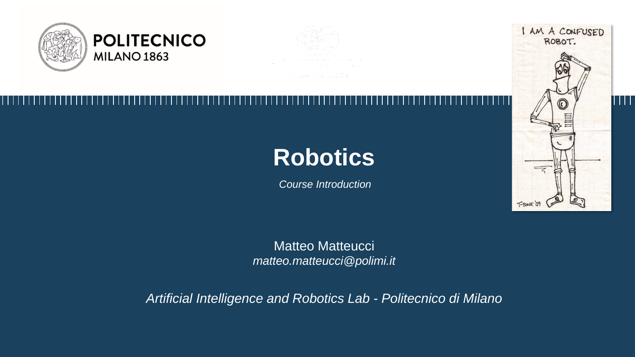

# **Robotics**

*Course Introduction*



Matteo Matteucci *matteo.matteucci@polimi.it*

*Artificial Intelligence and Robotics Lab - Politecnico di Milano*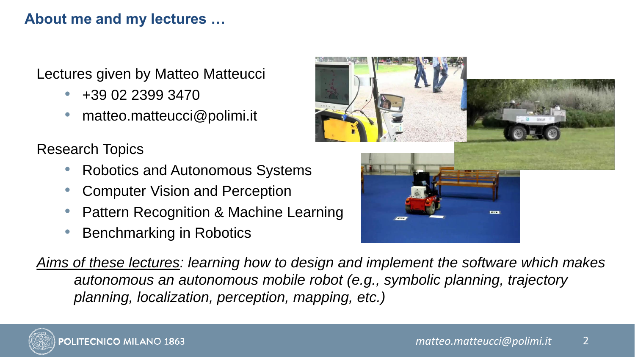### **About me and my lectures …**

Lectures given by Matteo Matteucci

- $\bullet$  +39 02 2399 3470
- matteo.matteucci@polimi.it

Research Topics

- Robotics and Autonomous Systems
- Computer Vision and Perception
- Pattern Recognition & Machine Learning
- Benchmarking in Robotics



*Aims of these lectures: learning how to design and implement the software which makes autonomous an autonomous mobile robot (e.g., symbolic planning, trajectory planning, localization, perception, mapping, etc.)*

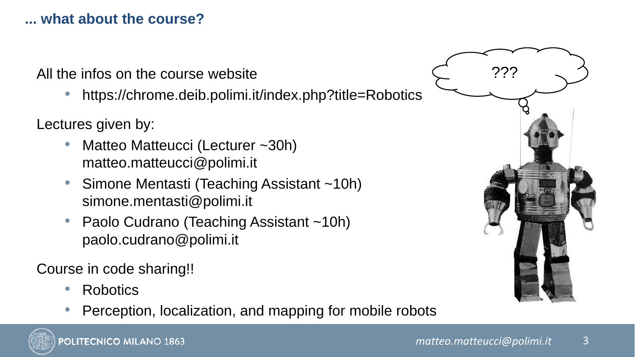# **... what about the course?**

All the infos on the course website

• https://chrome.deib.polimi.it/index.php?title=Robotics

Lectures given by:

- Matteo Matteucci (Lecturer ~30h) matteo.matteucci@polimi.it
- Simone Mentasti (Teaching Assistant ~10h) simone.mentasti@polimi.it
- Paolo Cudrano (Teaching Assistant ~10h) paolo.cudrano@polimi.it

Course in code sharing!!

- Robotics
- Perception, localization, and mapping for mobile robots

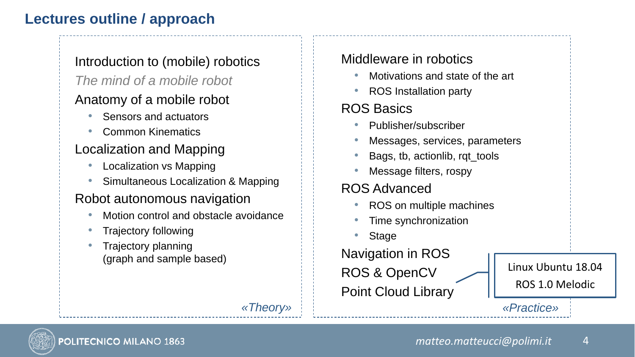# **Lectures outline / approach**

#### Introduction to (mobile) robotics *The mind of a mobile robot*

#### Anatomy of a mobile robot

- Sensors and actuators
- Common Kinematics

#### Localization and Mapping

- Localization vs Mapping
- Simultaneous Localization & Mapping

#### Robot autonomous navigation

- Motion control and obstacle avoidance
- Trajectory following
- Trajectory planning (graph and sample based)

#### Middleware in robotics

- Motivations and state of the art
- ROS Installation party

# ROS Basics

- Publisher/subscriber
- Messages, services, parameters
- Bags, tb, actionlib, rqt\_tools
- Message filters, rospy

### ROS Advanced

- ROS on multiple machines
- Time synchronization
- **Stage**

Navigation in ROS ROS & OpenCV Point Cloud Library

Linux Ubuntu 18.04 ROS 1.0 Melodic

*«Theory» «Practice»*

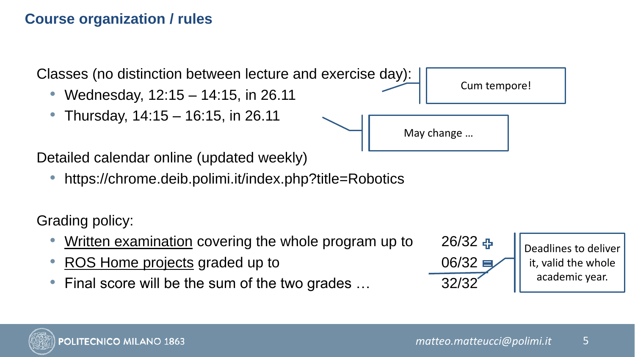# **Course organization / rules**

Classes (no distinction between lecture and exercise day):

- Wednesday, 12:15 14:15, in 26.11
- Thursday, 14:15 16:15, in 26.11



Detailed calendar online (updated weekly)

• https://chrome.deib.polimi.it/index.php?title=Robotics

Grading policy:

- Written examination covering the whole program up to 26/32
- ROS Home projects graded up to  $06/32 \equiv$
- Final score will be the sum of the two grades … 32/32





Cum tempore!